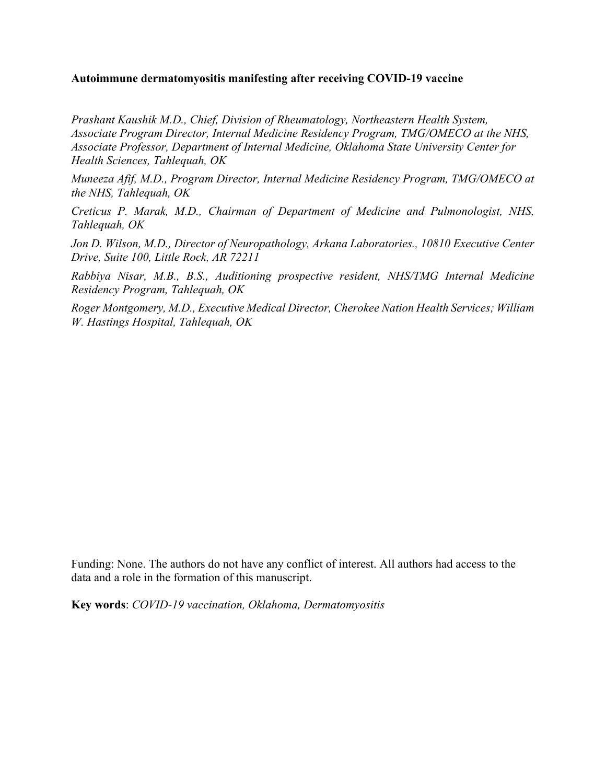## **Autoimmune dermatomyositis manifesting after receiving COVID-19 vaccine**

*Prashant Kaushik M.D., Chief, Division of Rheumatology, Northeastern Health System, Associate Program Director, Internal Medicine Residency Program, TMG/OMECO at the NHS, Associate Professor, Department of Internal Medicine, Oklahoma State University Center for Health Sciences, Tahlequah, OK*

*Muneeza Afif, M.D., Program Director, Internal Medicine Residency Program, TMG/OMECO at the NHS, Tahlequah, OK*

*Creticus P. Marak, M.D., Chairman of Department of Medicine and Pulmonologist, NHS, Tahlequah, OK*

*Jon D. Wilson, M.D., Director of Neuropathology, Arkana Laboratories., 10810 Executive Center Drive, Suite 100, Little Rock, AR 72211*

*Rabbiya Nisar, M.B., B.S., Auditioning prospective resident, NHS/TMG Internal Medicine Residency Program, Tahlequah, OK*

*Roger Montgomery, M.D., Executive Medical Director, Cherokee Nation Health Services; William W. Hastings Hospital, Tahlequah, OK*

Funding: None. The authors do not have any conflict of interest. All authors had access to the data and a role in the formation of this manuscript.

**Key words**: *COVID-19 vaccination, Oklahoma, Dermatomyositis*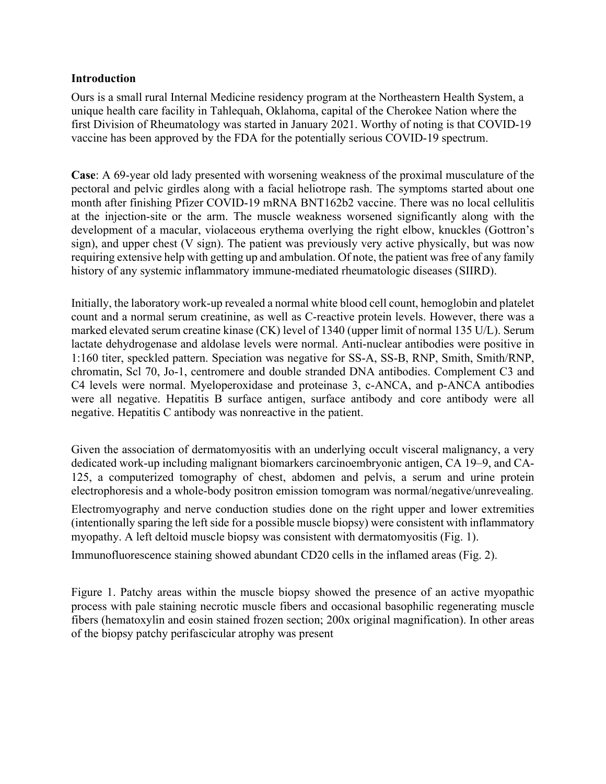## **Introduction**

Ours is a small rural Internal Medicine residency program at the Northeastern Health System, a unique health care facility in Tahlequah, Oklahoma, capital of the Cherokee Nation where the first Division of Rheumatology was started in January 2021. Worthy of noting is that COVID-19 vaccine has been approved by the FDA for the potentially serious COVID-19 spectrum.

**Case**: A 69-year old lady presented with worsening weakness of the proximal musculature of the pectoral and pelvic girdles along with a facial heliotrope rash. The symptoms started about one month after finishing Pfizer COVID-19 mRNA BNT162b2 vaccine. There was no local cellulitis at the injection-site or the arm. The muscle weakness worsened significantly along with the development of a macular, violaceous erythema overlying the right elbow, knuckles (Gottron's sign), and upper chest (V sign). The patient was previously very active physically, but was now requiring extensive help with getting up and ambulation. Of note, the patient was free of any family history of any systemic inflammatory immune-mediated rheumatologic diseases (SIIRD).

Initially, the laboratory work-up revealed a normal white blood cell count, hemoglobin and platelet count and a normal serum creatinine, as well as C-reactive protein levels. However, there was a marked elevated serum creatine kinase (CK) level of 1340 (upper limit of normal 135 U/L). Serum lactate dehydrogenase and aldolase levels were normal. Anti-nuclear antibodies were positive in 1:160 titer, speckled pattern. Speciation was negative for SS-A, SS-B, RNP, Smith, Smith/RNP, chromatin, Scl 70, Jo-1, centromere and double stranded DNA antibodies. Complement C3 and C4 levels were normal. Myeloperoxidase and proteinase 3, c-ANCA, and p-ANCA antibodies were all negative. Hepatitis B surface antigen, surface antibody and core antibody were all negative. Hepatitis C antibody was nonreactive in the patient.

Given the association of dermatomyositis with an underlying occult visceral malignancy, a very dedicated work-up including malignant biomarkers carcinoembryonic antigen, CA 19–9, and CA-125, a computerized tomography of chest, abdomen and pelvis, a serum and urine protein electrophoresis and a whole-body positron emission tomogram was normal/negative/unrevealing.

Electromyography and nerve conduction studies done on the right upper and lower extremities (intentionally sparing the left side for a possible muscle biopsy) were consistent with inflammatory myopathy. A left deltoid muscle biopsy was consistent with dermatomyositis (Fig. 1).

Immunofluorescence staining showed abundant CD20 cells in the inflamed areas (Fig. 2).

Figure 1. Patchy areas within the muscle biopsy showed the presence of an active myopathic process with pale staining necrotic muscle fibers and occasional basophilic regenerating muscle fibers (hematoxylin and eosin stained frozen section; 200x original magnification). In other areas of the biopsy patchy perifascicular atrophy was present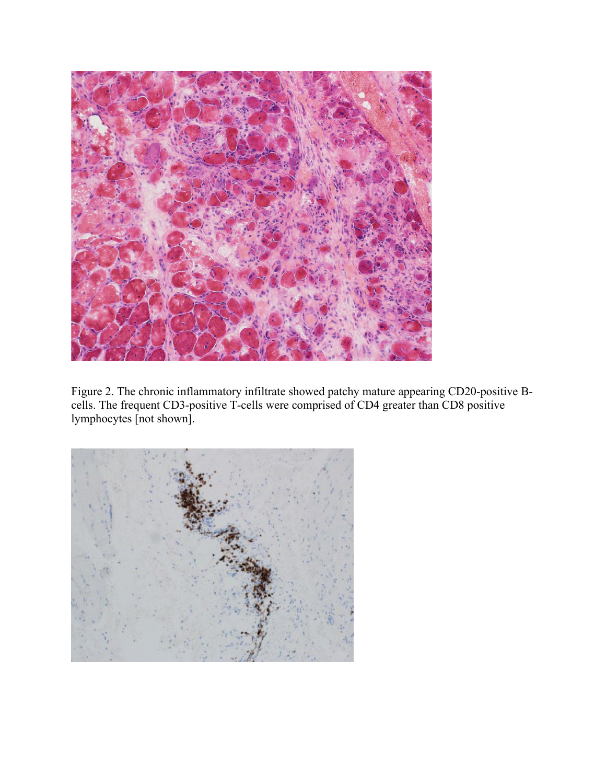

Figure 2. The chronic inflammatory infiltrate showed patchy mature appearing CD20-positive Bcells. The frequent CD3-positive T-cells were comprised of CD4 greater than CD8 positive lymphocytes [not shown].

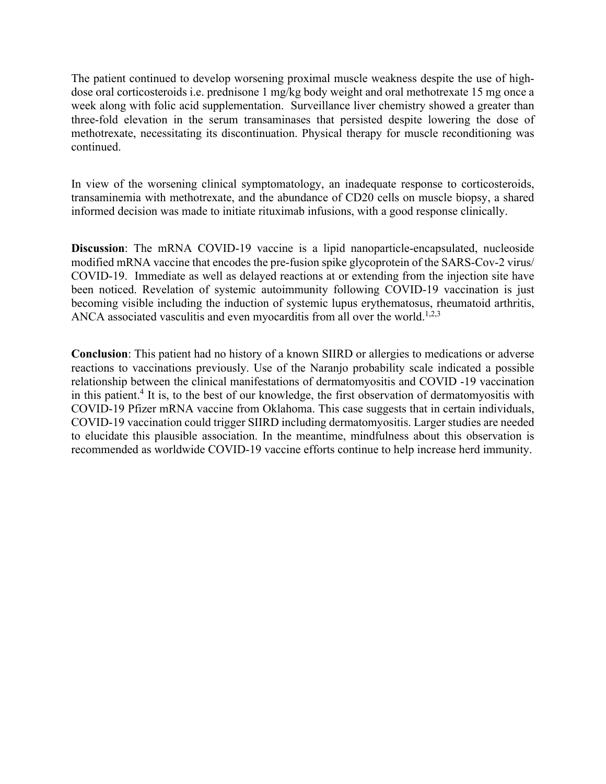The patient continued to develop worsening proximal muscle weakness despite the use of highdose oral corticosteroids i.e. prednisone 1 mg/kg body weight and oral methotrexate 15 mg once a week along with folic acid supplementation. Surveillance liver chemistry showed a greater than three-fold elevation in the serum transaminases that persisted despite lowering the dose of methotrexate, necessitating its discontinuation. Physical therapy for muscle reconditioning was continued.

In view of the worsening clinical symptomatology, an inadequate response to corticosteroids, transaminemia with methotrexate, and the abundance of CD20 cells on muscle biopsy, a shared informed decision was made to initiate rituximab infusions, with a good response clinically.

**Discussion**: The mRNA COVID-19 vaccine is a lipid nanoparticle-encapsulated, nucleoside modified mRNA vaccine that encodes the pre-fusion spike glycoprotein of the SARS-Cov-2 virus/ COVID-19. Immediate as well as delayed reactions at or extending from the injection site have been noticed. Revelation of systemic autoimmunity following COVID-19 vaccination is just becoming visible including the induction of systemic lupus erythematosus, rheumatoid arthritis, ANCA associated vasculitis and even myocarditis from all over the world.<sup>1,2,3</sup>

**Conclusion**: This patient had no history of a known SIIRD or allergies to medications or adverse reactions to vaccinations previously. Use of the Naranjo probability scale indicated a possible relationship between the clinical manifestations of dermatomyositis and COVID -19 vaccination in this patient.<sup>4</sup> It is, to the best of our knowledge, the first observation of dermatomyositis with COVID-19 Pfizer mRNA vaccine from Oklahoma. This case suggests that in certain individuals, COVID-19 vaccination could trigger SIIRD including dermatomyositis. Larger studies are needed to elucidate this plausible association. In the meantime, mindfulness about this observation is recommended as worldwide COVID-19 vaccine efforts continue to help increase herd immunity.